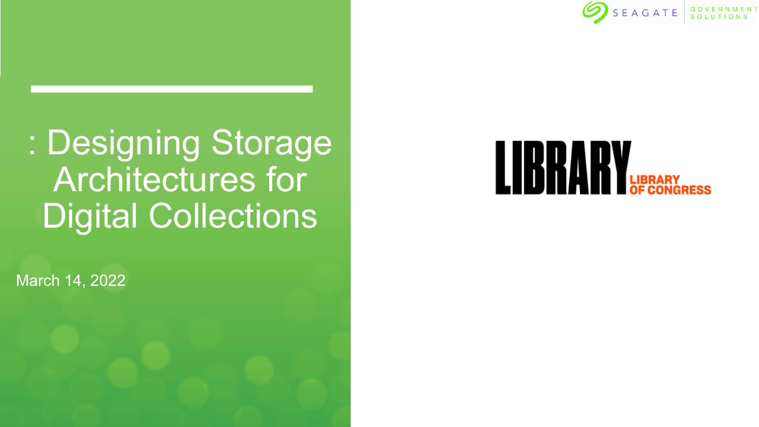

: Designing Storage Architectures for Digital Collections

March 14, 2022

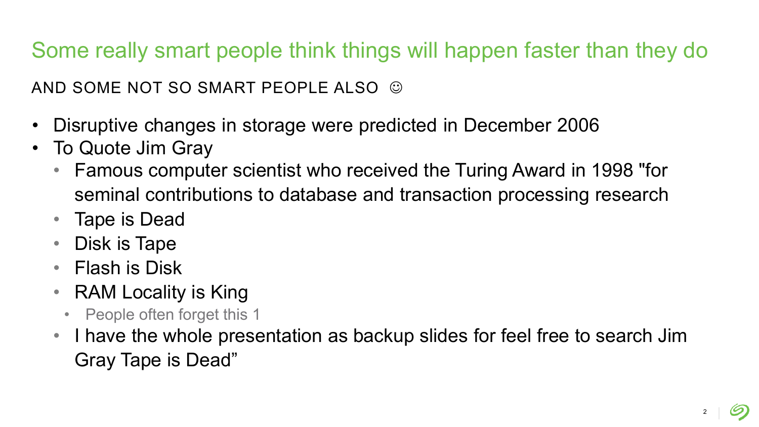Some really smart people think things will happen faster than they do

AND SOME NOT SO SMART PEOPLE ALSO  $\odot$ 

- Disruptive changes in storage were predicted in December 2006
- To Quote Jim Gray
	- Famous computer scientist who received the Turing Award in 1998 "for seminal contributions to database and transaction processing research
	- Tape is Dead
	- Disk is Tape
	- Flash is Disk
	- RAM Locality is King
		- People often forget this 1
	- I have the whole presentation as backup slides for feel free to search Jim Gray Tape is Dead"

2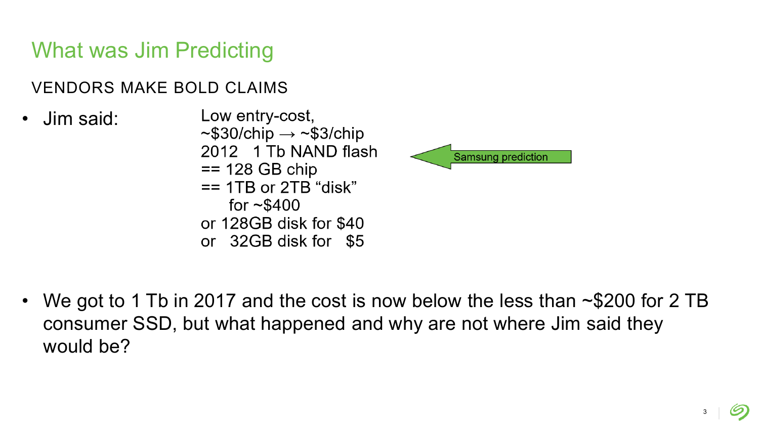# What was Jim Predicting

VENDORS MAKE BOLD CLAIMS

- Low entry-cost, • Jim said:  $\sim$ \$30/chip  $\rightarrow \sim$ \$3/chip 2012 1 Tb NAND flash  $== 128$  GB chip  $==$  1TB or 2TB "disk" for  $\sim$ \$400
	- or 128GB disk for \$40
	- or 32GB disk for \$5



• We got to 1 Tb in 2017 and the cost is now below the less than ~\$200 for 2 TB consumer SSD, but what happened and why are not where Jim said they would be?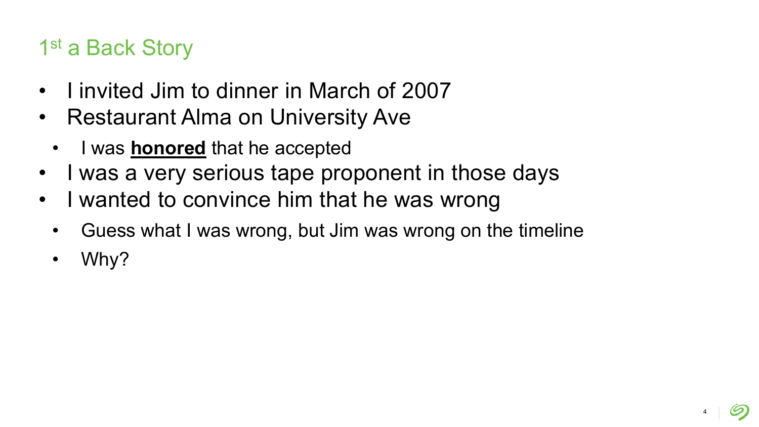# 1st a Back Story

- I invited Jim to dinner in March of 2007
- Restaurant Alma on University Ave
	- I was **honored** that he accepted
- I was a very serious tape proponent in those days
- I wanted to convince him that he was wrong
	- Guess what I was wrong, but Jim was wrong on the timeline
	- Why?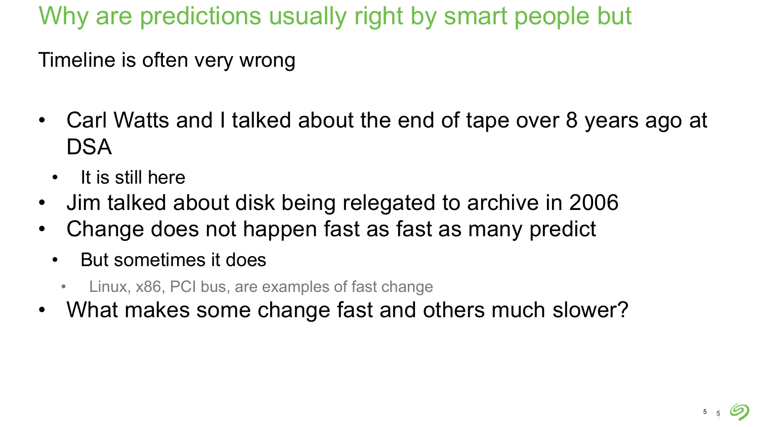Why are predictions usually right by smart people but

Timeline is often very wrong

- Carl Watts and I talked about the end of tape over 8 years ago at **DSA** 
	- It is still here
- Jim talked about disk being relegated to archive in 2006
- Change does not happen fast as fast as many predict
	- But sometimes it does
		- Linux, x86, PCI bus, are examples of fast change
- What makes some change fast and others much slower?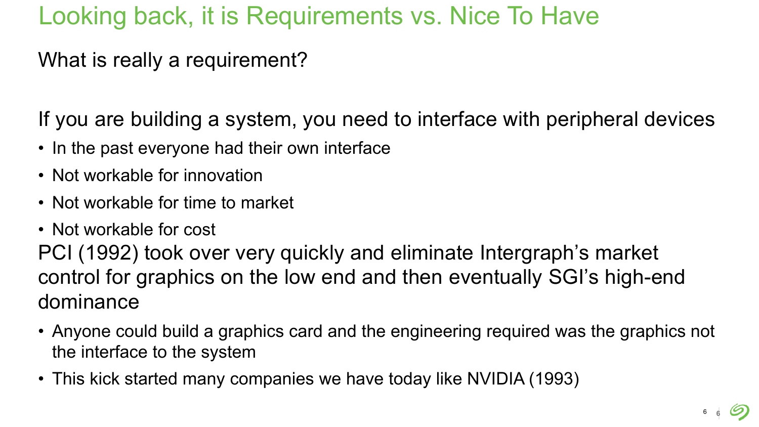# Looking back, it is Requirements vs. Nice To Have

What is really a requirement?

If you are building a system, you need to interface with peripheral devices

- In the past everyone had their own interface
- Not workable for innovation
- Not workable for time to market
- Not workable for cost

PCI (1992) took over very quickly and eliminate Intergraph's market control for graphics on the low end and then eventually SGI's high-end dominance

- Anyone could build a graphics card and the engineering required was the graphics not the interface to the system
- This kick started many companies we have today like NVIDIA (1993)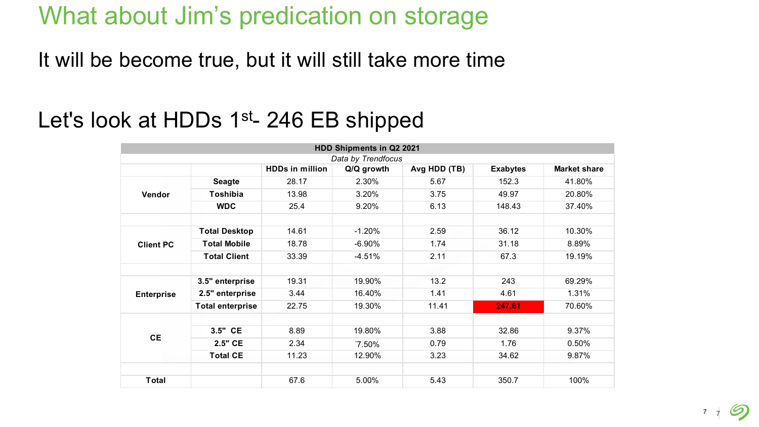# What about Jim's predication on storage

It will be become true, but it will still take more time

# Let's look at HDDs 1<sup>st</sup>- 246 EB shipped

| HDD Shipments in Q2 2021 |                         |                        |            |              |                 |                     |  |  |  |  |
|--------------------------|-------------------------|------------------------|------------|--------------|-----------------|---------------------|--|--|--|--|
| Data by Trendfocus       |                         |                        |            |              |                 |                     |  |  |  |  |
|                          |                         | <b>HDDs in million</b> | Q/Q growth | Avg HDD (TB) | <b>Exabytes</b> | <b>Market share</b> |  |  |  |  |
| Vendor                   | <b>Seagte</b>           | 28.17                  | 2.30%      | 5.67         | 152.3           | 41.80%              |  |  |  |  |
|                          | Toshibia                | 13.98                  | 3.20%      | 3.75         | 49.97           | 20.80%              |  |  |  |  |
|                          | <b>WDC</b>              | 25.4                   | 9.20%      | 6.13         | 148.43          | 37.40%              |  |  |  |  |
| <b>Client PC</b>         | <b>Total Desktop</b>    | 14.61                  | $-1.20%$   | 2.59         | 36.12           | 10.30%              |  |  |  |  |
|                          | <b>Total Mobile</b>     | 18.78                  | $-6.90%$   | 1.74         | 31.18           | 8.89%               |  |  |  |  |
|                          | <b>Total Client</b>     | 33.39                  | $-4.51%$   | 2.11         | 67.3            | 19.19%              |  |  |  |  |
| <b>Enterprise</b>        | 3.5" enterprise         | 19.31                  | 19.90%     | 13.2         | 243             | 69.29%              |  |  |  |  |
|                          | 2.5" enterprise         | 3.44                   | 16.40%     | 1.41         | 4.61            | 1.31%               |  |  |  |  |
|                          | <b>Total enterprise</b> | 22.75                  | 19.30%     | 11.41        | 247.61          | 70.60%              |  |  |  |  |
| <b>CE</b>                | 3.5" CE                 | 8.89                   | 19.80%     | 3.88         | 32.86           | 9.37%               |  |  |  |  |
|                          | 2.5" CE                 | 2.34                   | $7.50\%$   | 0.79         | 1.76            | 0.50%               |  |  |  |  |
|                          | <b>Total CE</b>         | 11.23                  | 12.90%     | 3.23         | 34.62           | 9.87%               |  |  |  |  |
| <b>Total</b>             |                         | 67.6                   | 5.00%      | 5.43         | 350.7           | 100%                |  |  |  |  |
|                          |                         |                        |            |              |                 |                     |  |  |  |  |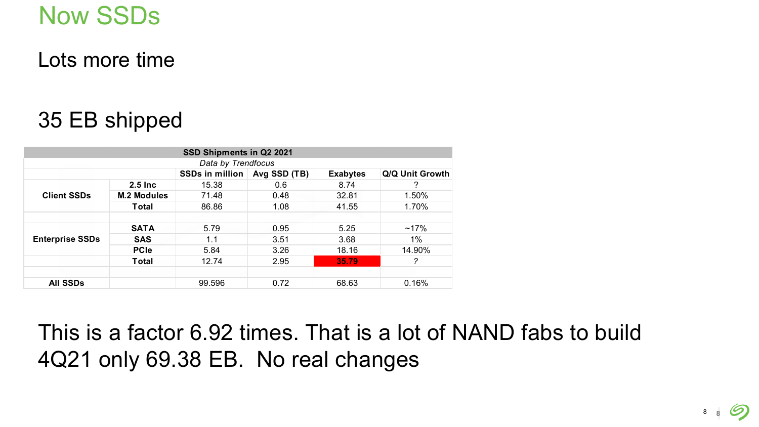# Now SSDs

Lots more time

# 35 EB shipped

| SSD Shipments in Q2 2021 |                        |                        |              |                 |                 |  |  |  |  |  |
|--------------------------|------------------------|------------------------|--------------|-----------------|-----------------|--|--|--|--|--|
| Data by Trendfocus       |                        |                        |              |                 |                 |  |  |  |  |  |
|                          |                        | <b>SSDs in million</b> | Avg SSD (TB) | <b>Exabytes</b> | Q/Q Unit Growth |  |  |  |  |  |
| <b>Client SSDs</b>       | $2.5$ Inc              | 15.38                  | 0.6          | 8.74            | ?               |  |  |  |  |  |
|                          | <b>M.2 Modules</b>     | 71.48                  | 0.48         | 32.81           | 1.50%           |  |  |  |  |  |
|                          | Total                  | 86.86                  | 1.08         | 41.55           | 1.70%           |  |  |  |  |  |
|                          |                        |                        |              |                 |                 |  |  |  |  |  |
|                          | <b>SATA</b>            | 5.79                   | 0.95         | 5.25            | $~17\%$         |  |  |  |  |  |
| <b>Enterprise SSDs</b>   | <b>SAS</b>             | 1.1                    | 3.51         | 3.68            | $1\%$           |  |  |  |  |  |
|                          | <b>PC<sub>le</sub></b> | 5.84                   | 3.26         | 18.16           | 14.90%          |  |  |  |  |  |
|                          | <b>Total</b>           | 12.74                  | 2.95         | 35.79           | 2               |  |  |  |  |  |
|                          |                        |                        |              |                 |                 |  |  |  |  |  |
| <b>All SSDs</b>          |                        | 99.596                 | 0.72         | 68.63           | 0.16%           |  |  |  |  |  |

This is a factor 6.92 times. That is a lot of NAND fabs to build 4Q21 only 69.38 EB. No real changes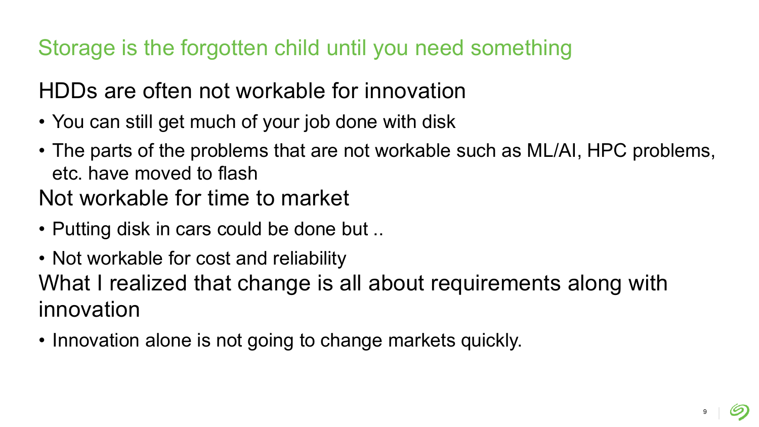Storage is the forgotten child until you need something

# HDDs are often not workable for innovation

- You can still get much of your job done with disk
- The parts of the problems that are not workable such as ML/AI, HPC problems, etc. have moved to flash
- Not workable for time to market
- Putting disk in cars could be done but ..
- Not workable for cost and reliability What I realized that change is all about requirements along with innovation
- Innovation alone is not going to change markets quickly.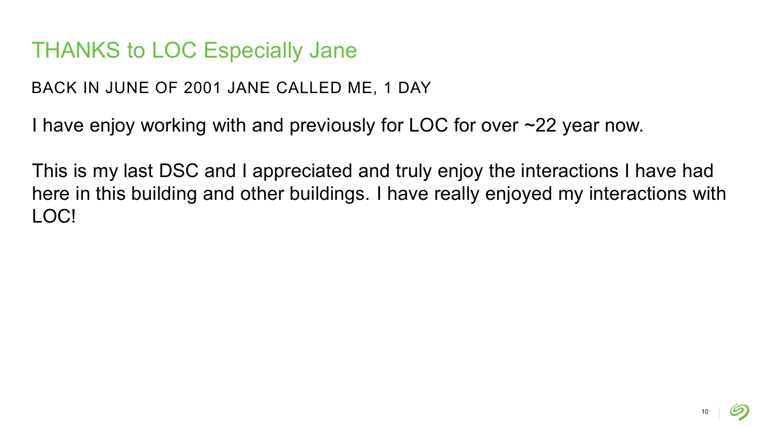#### THANKS to LOC Especially Jane

BACK IN JUNE OF 2001 JANE CALLED ME, 1 DAY

I have enjoy working with and previously for LOC for over ~22 year now.

This is my last DSC and I appreciated and truly enjoy the interactions I have had here in this building and other buildings. I have really enjoyed my interactions with LOC!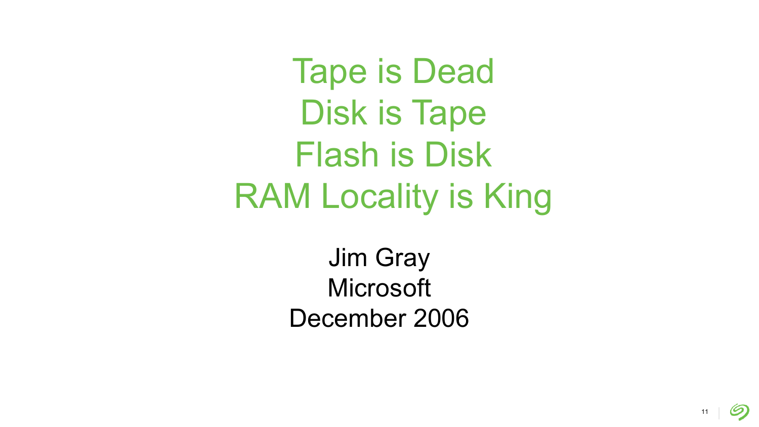Tape is Dead Disk is Tape Flash is Disk RAM Locality is King

> Jim Gray **Microsoft** December 2006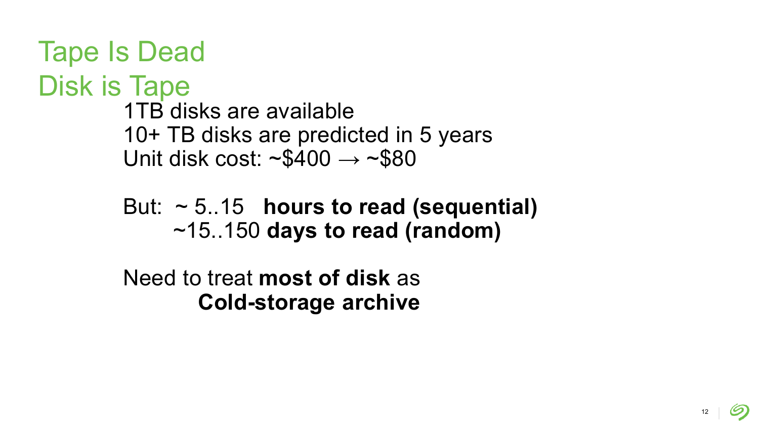```
Tape Is Dead
Disk is Tape
         1TB disks are available
         10+ TB disks are predicted in 5 years
         Unit disk cost: \sim$400 \rightarrow \sim$80
```
But: ~ 5..15 **hours to read (sequential)** ~15..150 **days to read (random)**

Need to treat **most of disk** as **Cold-storage archive**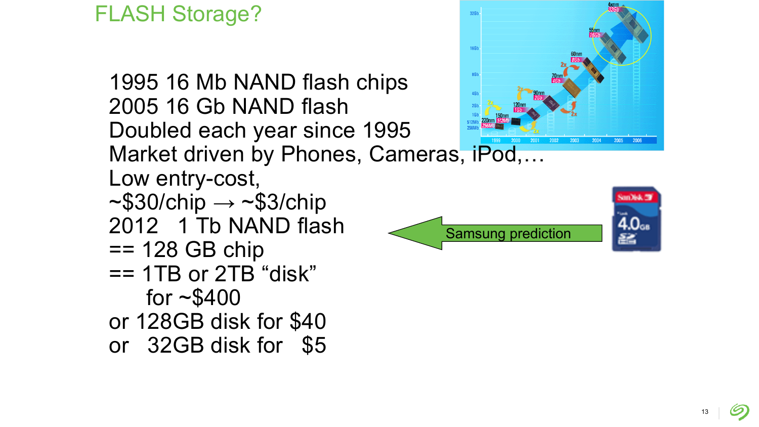#### FLASH Storage?

1995 16 Mb NAND flash chips 2005 16 Gb NAND flash Doubled each year since 1995 Market driven by Phones, Cameras, iPod,... Low entry-cost,  $~\sim$ \$30/chip  $\rightarrow$   $~\sim$ \$3/chip 2012 1 Tb NAND flash == 128 GB chip == 1TB or 2TB "disk" for  $~5400$ or 128GB disk for \$40 or 32GB disk for \$5



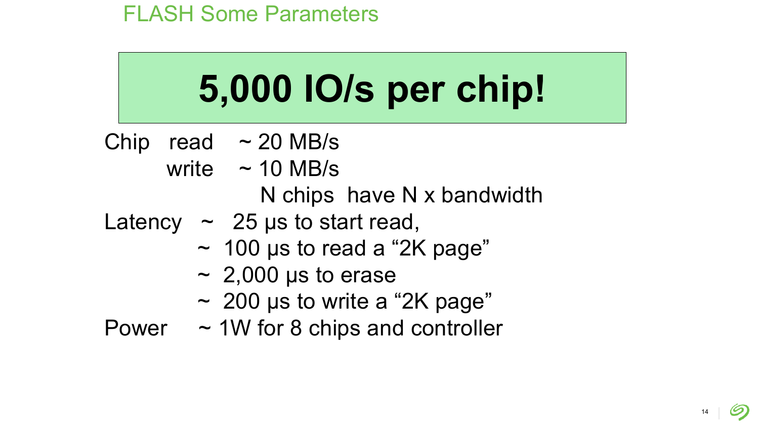# **5,000 IO/s per chip!**

- Chip read  $\sim$  20 MB/s
	- write  $\sim$  10 MB/s N chips have N x bandwidth
- Latency  $\sim$  25 μs to start read,
	- $\sim$  100 µs to read a "2K page"
	- $\sim 2,000$  µs to erase
	- $\sim$  200 µs to write a "2K page"
- Power  $\sim$  1W for 8 chips and controller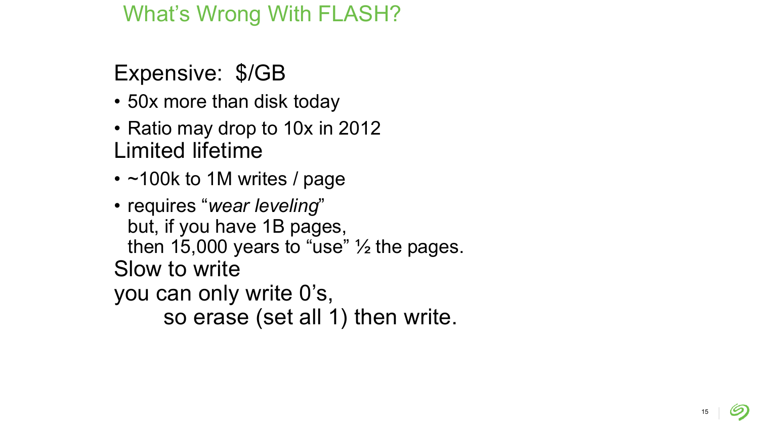#### What's Wrong With FLASH?

# Expensive: \$/GB

- 50x more than disk today
- Ratio may drop to 10x in 2012 Limited lifetime
- ~100k to 1M writes / page
- requires "*wear leveling*" but, if you have 1B pages, then 15,000 years to "use"  $\frac{1}{2}$  the pages. Slow to write you can only write 0's, so erase (set all 1) then write.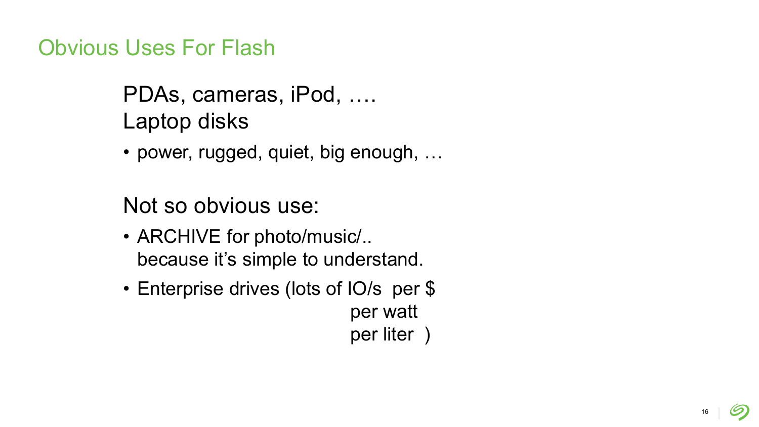Obvious Uses For Flash

PDAs, cameras, iPod, …. Laptop disks

• power, rugged, quiet, big enough, …

Not so obvious use:

- ARCHIVE for photo/music/.. because it's simple to understand.
- Enterprise drives (lots of IO/s per \$ per watt per liter )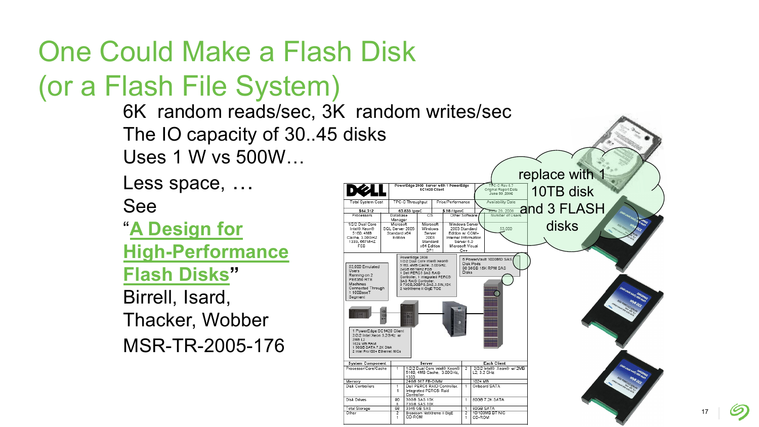# One Could Make a Flash Disk

(or a Flash File System)

6K random reads/sec, 3K random writes/sec The IO capacity of 30..45 disks Uses 1 W vs 500W…

Less space, … See

"**A Design for [High-Performance](ftp://ftp.research.microsoft.com/pub/tr/TR-2005-176.pdf)  Flash Disks"**  Birrell, Isard,

Thacker, Wobber MSR-TR-2005-176

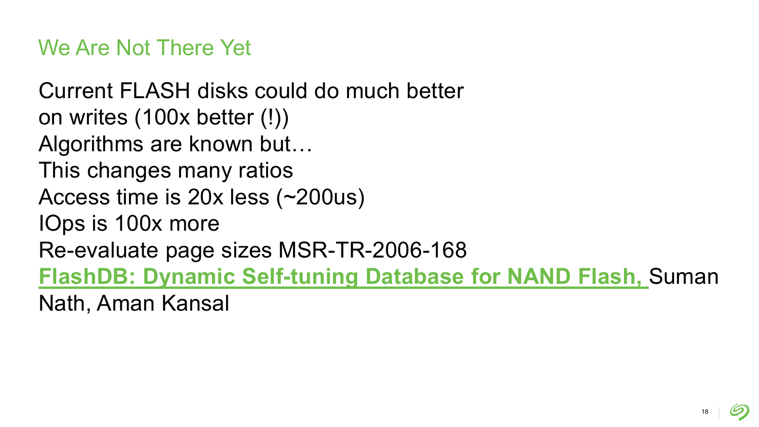We Are Not There Yet

Current FLASH disks could do much better on writes (100x better (!)) Algorithms are known but… This changes many ratios Access time is 20x less (~200us) IOps is 100x more Re-evaluate page sizes MSR-TR-2006-168 **[FlashDB: Dynamic Self-tuning Database for NAND Flash,](ftp://ftp.research.microsoft.com/pub/tr/TR-2006-168.pdf)** Suman Nath, Aman Kansal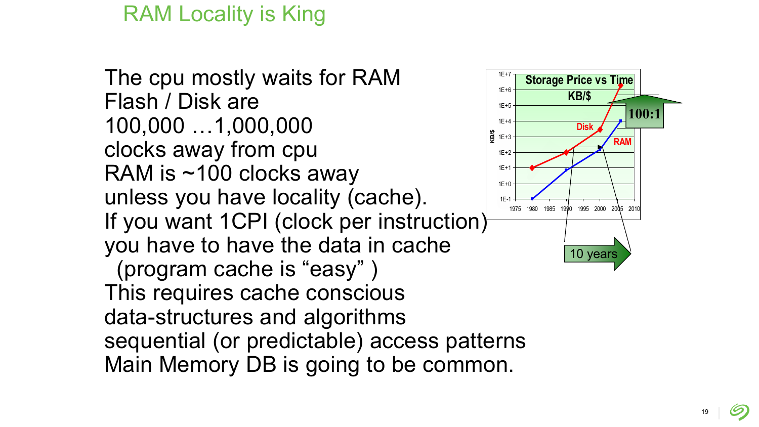#### RAM Locality is King

The cpu mostly waits for RAM Flash / Disk are 100,000 …1,000,000 clocks away from cpu RAM is ~100 clocks away unless you have locality (cache). If you want 1CPI (clock per instruction) you have to have the data in cache (program cache is "easy" ) This requires cache conscious data-structures and algorithms sequential (or predictable) access patterns Main Memory DB is going to be common. 1E-1 1E+0 1E+1 1E+2 **∯**<br>⊈ 1E+3 1E+4 1E+5 1E+6 1E+7